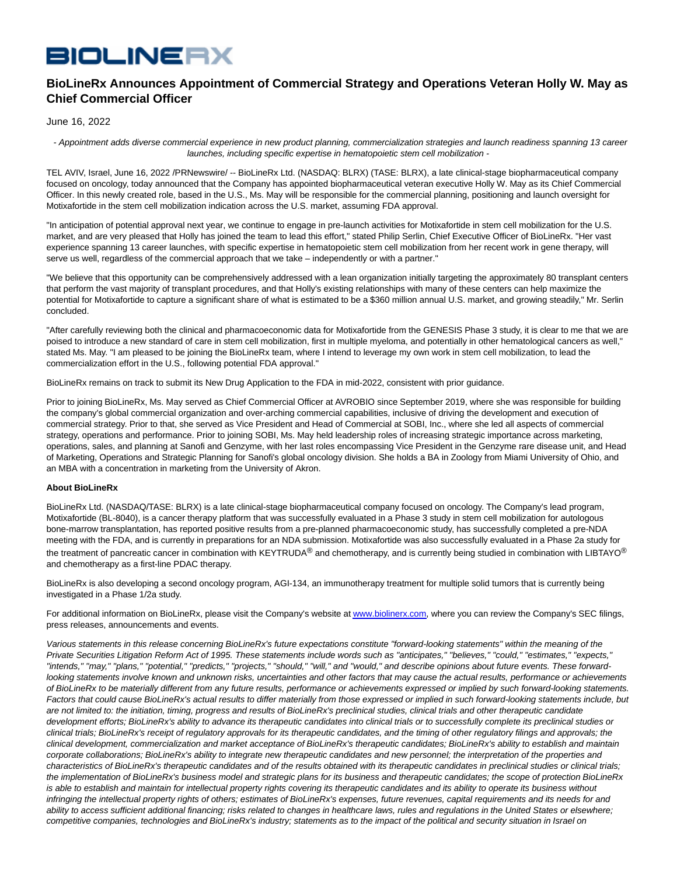## **BIOLINERX**

## **BioLineRx Announces Appointment of Commercial Strategy and Operations Veteran Holly W. May as Chief Commercial Officer**

## June 16, 2022

 - Appointment adds diverse commercial experience in new product planning, commercialization strategies and launch readiness spanning 13 career launches, including specific expertise in hematopoietic stem cell mobilization -

TEL AVIV, Israel, June 16, 2022 /PRNewswire/ -- BioLineRx Ltd. (NASDAQ: BLRX) (TASE: BLRX), a late clinical-stage biopharmaceutical company focused on oncology, today announced that the Company has appointed biopharmaceutical veteran executive Holly W. May as its Chief Commercial Officer. In this newly created role, based in the U.S., Ms. May will be responsible for the commercial planning, positioning and launch oversight for Motixafortide in the stem cell mobilization indication across the U.S. market, assuming FDA approval.

"In anticipation of potential approval next year, we continue to engage in pre-launch activities for Motixafortide in stem cell mobilization for the U.S. market, and are very pleased that Holly has joined the team to lead this effort," stated Philip Serlin, Chief Executive Officer of BioLineRx. "Her vast experience spanning 13 career launches, with specific expertise in hematopoietic stem cell mobilization from her recent work in gene therapy, will serve us well, regardless of the commercial approach that we take – independently or with a partner."

"We believe that this opportunity can be comprehensively addressed with a lean organization initially targeting the approximately 80 transplant centers that perform the vast majority of transplant procedures, and that Holly's existing relationships with many of these centers can help maximize the potential for Motixafortide to capture a significant share of what is estimated to be a \$360 million annual U.S. market, and growing steadily," Mr. Serlin concluded.

"After carefully reviewing both the clinical and pharmacoeconomic data for Motixafortide from the GENESIS Phase 3 study, it is clear to me that we are poised to introduce a new standard of care in stem cell mobilization, first in multiple myeloma, and potentially in other hematological cancers as well," stated Ms. May. "I am pleased to be joining the BioLineRx team, where I intend to leverage my own work in stem cell mobilization, to lead the commercialization effort in the U.S., following potential FDA approval."

BioLineRx remains on track to submit its New Drug Application to the FDA in mid-2022, consistent with prior guidance.

Prior to joining BioLineRx, Ms. May served as Chief Commercial Officer at AVROBIO since September 2019, where she was responsible for building the company's global commercial organization and over-arching commercial capabilities, inclusive of driving the development and execution of commercial strategy. Prior to that, she served as Vice President and Head of Commercial at SOBI, Inc., where she led all aspects of commercial strategy, operations and performance. Prior to joining SOBI, Ms. May held leadership roles of increasing strategic importance across marketing, operations, sales, and planning at Sanofi and Genzyme, with her last roles encompassing Vice President in the Genzyme rare disease unit, and Head of Marketing, Operations and Strategic Planning for Sanofi's global oncology division. She holds a BA in Zoology from Miami University of Ohio, and an MBA with a concentration in marketing from the University of Akron.

## **About BioLineRx**

BioLineRx Ltd. (NASDAQ/TASE: BLRX) is a late clinical-stage biopharmaceutical company focused on oncology. The Company's lead program, Motixafortide (BL-8040), is a cancer therapy platform that was successfully evaluated in a Phase 3 study in stem cell mobilization for autologous bone-marrow transplantation, has reported positive results from a pre-planned pharmacoeconomic study, has successfully completed a pre-NDA meeting with the FDA, and is currently in preparations for an NDA submission. Motixafortide was also successfully evaluated in a Phase 2a study for the treatment of pancreatic cancer in combination with KEYTRUDA® and chemotherapy, and is currently being studied in combination with LIBTAYO® and chemotherapy as a first-line PDAC therapy.

BioLineRx is also developing a second oncology program, AGI-134, an immunotherapy treatment for multiple solid tumors that is currently being investigated in a Phase 1/2a study.

For additional information on BioLineRx, please visit the Company's website a[t www.biolinerx.com,](http://www.biolinerx.com/) where you can review the Company's SEC filings, press releases, announcements and events.

Various statements in this release concerning BioLineRx's future expectations constitute "forward-looking statements" within the meaning of the Private Securities Litigation Reform Act of 1995. These statements include words such as "anticipates," "believes," "could," "estimates," "expects," "intends," "may," "plans," "potential," "predicts," "projects," "should," "will," and "would," and describe opinions about future events. These forwardlooking statements involve known and unknown risks, uncertainties and other factors that may cause the actual results, performance or achievements of BioLineRx to be materially different from any future results, performance or achievements expressed or implied by such forward-looking statements. Factors that could cause BioLineRx's actual results to differ materially from those expressed or implied in such forward-looking statements include, but are not limited to: the initiation, timing, progress and results of BioLineRx's preclinical studies, clinical trials and other therapeutic candidate development efforts; BioLineRx's ability to advance its therapeutic candidates into clinical trials or to successfully complete its preclinical studies or clinical trials; BioLineRx's receipt of regulatory approvals for its therapeutic candidates, and the timing of other regulatory filings and approvals; the clinical development, commercialization and market acceptance of BioLineRx's therapeutic candidates; BioLineRx's ability to establish and maintain corporate collaborations; BioLineRx's ability to integrate new therapeutic candidates and new personnel; the interpretation of the properties and characteristics of BioLineRx's therapeutic candidates and of the results obtained with its therapeutic candidates in preclinical studies or clinical trials; the implementation of BioLineRx's business model and strategic plans for its business and therapeutic candidates; the scope of protection BioLineRx is able to establish and maintain for intellectual property rights covering its therapeutic candidates and its ability to operate its business without infringing the intellectual property rights of others; estimates of BioLineRx's expenses, future revenues, capital requirements and its needs for and ability to access sufficient additional financing; risks related to changes in healthcare laws, rules and regulations in the United States or elsewhere; competitive companies, technologies and BioLineRx's industry; statements as to the impact of the political and security situation in Israel on